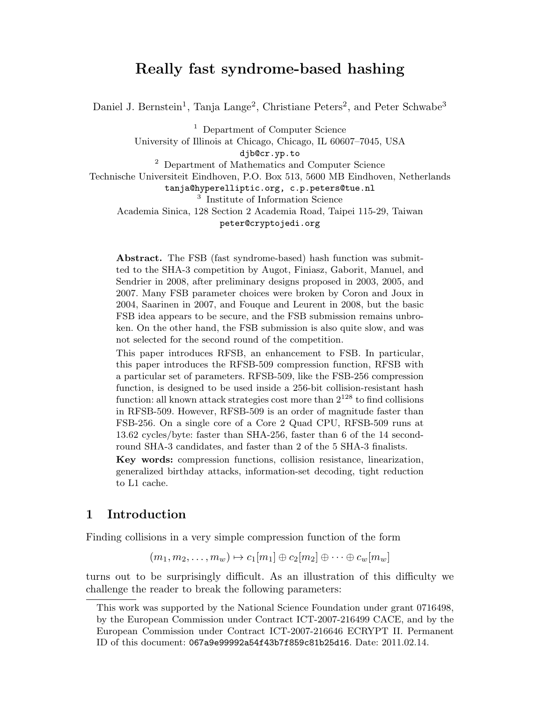# Really fast syndrome-based hashing

Daniel J. Bernstein<sup>1</sup>, Tanja Lange<sup>2</sup>, Christiane Peters<sup>2</sup>, and Peter Schwabe<sup>3</sup>

<sup>1</sup> Department of Computer Science University of Illinois at Chicago, Chicago, IL 60607–7045, USA djb@cr.yp.to <sup>2</sup> Department of Mathematics and Computer Science Technische Universiteit Eindhoven, P.O. Box 513, 5600 MB Eindhoven, Netherlands tanja@hyperelliptic.org, c.p.peters@tue.nl 3 Institute of Information Science Academia Sinica, 128 Section 2 Academia Road, Taipei 115-29, Taiwan peter@cryptojedi.org

Abstract. The FSB (fast syndrome-based) hash function was submitted to the SHA-3 competition by Augot, Finiasz, Gaborit, Manuel, and Sendrier in 2008, after preliminary designs proposed in 2003, 2005, and 2007. Many FSB parameter choices were broken by Coron and Joux in 2004, Saarinen in 2007, and Fouque and Leurent in 2008, but the basic FSB idea appears to be secure, and the FSB submission remains unbroken. On the other hand, the FSB submission is also quite slow, and was not selected for the second round of the competition.

This paper introduces RFSB, an enhancement to FSB. In particular, this paper introduces the RFSB-509 compression function, RFSB with a particular set of parameters. RFSB-509, like the FSB-256 compression function, is designed to be used inside a 256-bit collision-resistant hash function: all known attack strategies cost more than  $2^{128}$  to find collisions in RFSB-509. However, RFSB-509 is an order of magnitude faster than FSB-256. On a single core of a Core 2 Quad CPU, RFSB-509 runs at 13.62 cycles/byte: faster than SHA-256, faster than 6 of the 14 secondround SHA-3 candidates, and faster than 2 of the 5 SHA-3 finalists.

Key words: compression functions, collision resistance, linearization, generalized birthday attacks, information-set decoding, tight reduction to L1 cache.

## 1 Introduction

Finding collisions in a very simple compression function of the form

$$
(m_1, m_2, \ldots, m_w) \mapsto c_1[m_1] \oplus c_2[m_2] \oplus \cdots \oplus c_w[m_w]
$$

turns out to be surprisingly difficult. As an illustration of this difficulty we challenge the reader to break the following parameters:

This work was supported by the National Science Foundation under grant 0716498, by the European Commission under Contract ICT-2007-216499 CACE, and by the European Commission under Contract ICT-2007-216646 ECRYPT II. Permanent ID of this document: 067a9e99992a54f43b7f859c81b25d16. Date: 2011.02.14.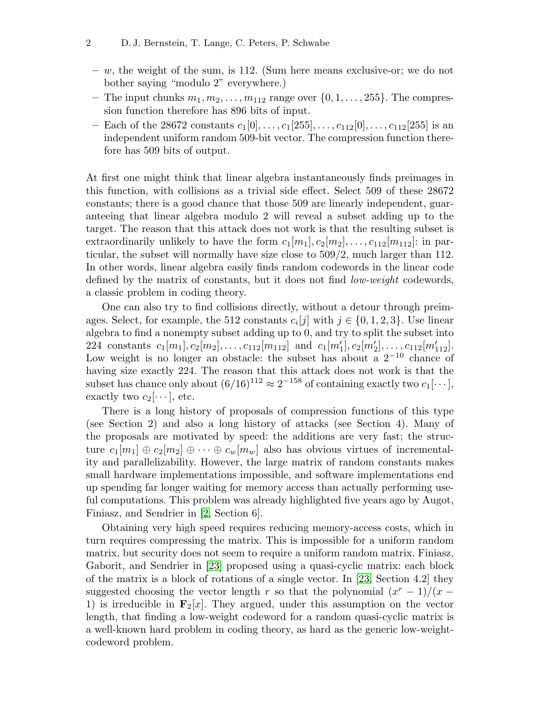- $w$ , the weight of the sum, is 112. (Sum here means exclusive-or; we do not bother saying "modulo 2" everywhere.)
- The input chunks  $m_1, m_2, \ldots, m_{112}$  range over  $\{0, 1, \ldots, 255\}$ . The compression function therefore has 896 bits of input.
- Each of the 28672 constants  $c_1[0], \ldots, c_1[255], \ldots, c_{112}[0], \ldots, c_{112}[255]$  is an independent uniform random 509-bit vector. The compression function therefore has 509 bits of output.

At first one might think that linear algebra instantaneously finds preimages in this function, with collisions as a trivial side effect. Select 509 of these 28672 constants; there is a good chance that those 509 are linearly independent, guaranteeing that linear algebra modulo 2 will reveal a subset adding up to the target. The reason that this attack does not work is that the resulting subset is extraordinarily unlikely to have the form  $c_1[m_1], c_2[m_2], \ldots, c_{112}[m_{112}]$ : in particular, the subset will normally have size close to 509/2, much larger than 112. In other words, linear algebra easily finds random codewords in the linear code defined by the matrix of constants, but it does not find low-weight codewords, a classic problem in coding theory.

One can also try to find collisions directly, without a detour through preimages. Select, for example, the 512 constants  $c_i[j]$  with  $j \in \{0, 1, 2, 3\}$ . Use linear algebra to find a nonempty subset adding up to 0, and try to split the subset into 224 constants  $c_1[m_1], c_2[m_2], \ldots, c_{112}[m_{112}]$  and  $c_1[m'_1], c_2[m'_2], \ldots, c_{112}[m'_{112}]$ . Low weight is no longer an obstacle: the subset has about a  $2^{-10}$  chance of having size exactly 224. The reason that this attack does not work is that the subset has chance only about  $(6/16)^{112} \approx 2^{-158}$  of containing exactly two  $c_1[\cdots]$ , exactly two  $c_2[\cdots]$ , etc.

There is a long history of proposals of compression functions of this type (see Section 2) and also a long history of attacks (see Section 4). Many of the proposals are motivated by speed: the additions are very fast; the structure  $c_1[m_1] \oplus c_2[m_2] \oplus \cdots \oplus c_w[m_w]$  also has obvious virtues of incrementality and parallelizability. However, the large matrix of random constants makes small hardware implementations impossible, and software implementations end up spending far longer waiting for memory access than actually performing useful computations. This problem was already highlighted five years ago by Augot, Finiasz, and Sendrier in [\[2,](#page-15-0) Section 6].

<span id="page-1-2"></span><span id="page-1-1"></span><span id="page-1-0"></span>Obtaining very high speed requires reducing memory-access costs, which in turn requires compressing the matrix. This is impossible for a uniform random matrix, but security does not seem to require a uniform random matrix. Finiasz, Gaborit, and Sendrier in [\[23\]](#page-16-0) proposed using a quasi-cyclic matrix: each block of the matrix is a block of rotations of a single vector. In [\[23,](#page-16-0) Section 4.2] they suggested choosing the vector length r so that the polynomial  $(x^{r} - 1)/(x -$ 1) is irreducible in  $\mathbf{F}_2[x]$ . They argued, under this assumption on the vector length, that finding a low-weight codeword for a random quasi-cyclic matrix is a well-known hard problem in coding theory, as hard as the generic low-weightcodeword problem.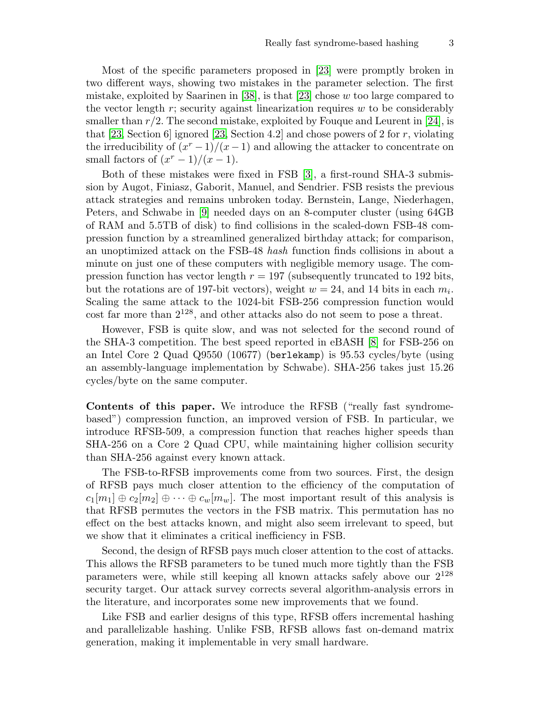<span id="page-2-8"></span><span id="page-2-7"></span><span id="page-2-4"></span><span id="page-2-3"></span>Most of the specific parameters proposed in [\[23\]](#page-16-0) were promptly broken in two different ways, showing two mistakes in the parameter selection. The first mistake, exploited by Saarinen in  $|38|$ , is that  $|23|$  chose w too large compared to the vector length  $r$ ; security against linearization requires  $w$  to be considerably smaller than  $r/2$ . The second mistake, exploited by Fouque and Leurent in [\[24\]](#page-16-1), is that [\[23,](#page-16-0) Section 6] ignored [23, Section 4.2] and chose powers of 2 for r, violating the irreducibility of  $(x^{r} - 1)/(x - 1)$  and allowing the attacker to concentrate on small factors of  $(x^r - 1)/(x - 1)$ .

<span id="page-2-6"></span><span id="page-2-5"></span><span id="page-2-2"></span><span id="page-2-0"></span>Both of these mistakes were fixed in FSB [\[3\]](#page-15-1), a first-round SHA-3 submission by Augot, Finiasz, Gaborit, Manuel, and Sendrier. FSB resists the previous attack strategies and remains unbroken today. Bernstein, Lange, Niederhagen, Peters, and Schwabe in [\[9\]](#page-16-2) needed days on an 8-computer cluster (using 64GB of RAM and 5.5TB of disk) to find collisions in the scaled-down FSB-48 compression function by a streamlined generalized birthday attack; for comparison, an unoptimized attack on the FSB-48 hash function finds collisions in about a minute on just one of these computers with negligible memory usage. The compression function has vector length  $r = 197$  (subsequently truncated to 192 bits, but the rotations are of 197-bit vectors), weight  $w = 24$ , and 14 bits in each  $m_i$ . Scaling the same attack to the 1024-bit FSB-256 compression function would cost far more than 2<sup>128</sup>, and other attacks also do not seem to pose a threat.

<span id="page-2-1"></span>However, FSB is quite slow, and was not selected for the second round of the SHA-3 competition. The best speed reported in eBASH [\[8\]](#page-15-2) for FSB-256 on an Intel Core 2 Quad Q9550 (10677) (berlekamp) is 95.53 cycles/byte (using an assembly-language implementation by Schwabe). SHA-256 takes just 15.26 cycles/byte on the same computer.

Contents of this paper. We introduce the RFSB ("really fast syndromebased") compression function, an improved version of FSB. In particular, we introduce RFSB-509, a compression function that reaches higher speeds than SHA-256 on a Core 2 Quad CPU, while maintaining higher collision security than SHA-256 against every known attack.

The FSB-to-RFSB improvements come from two sources. First, the design of RFSB pays much closer attention to the efficiency of the computation of  $c_1[m_1] \oplus c_2[m_2] \oplus \cdots \oplus c_w[m_w]$ . The most important result of this analysis is that RFSB permutes the vectors in the FSB matrix. This permutation has no effect on the best attacks known, and might also seem irrelevant to speed, but we show that it eliminates a critical inefficiency in FSB.

Second, the design of RFSB pays much closer attention to the cost of attacks. This allows the RFSB parameters to be tuned much more tightly than the FSB parameters were, while still keeping all known attacks safely above our  $2^{128}$ security target. Our attack survey corrects several algorithm-analysis errors in the literature, and incorporates some new improvements that we found.

Like FSB and earlier designs of this type, RFSB offers incremental hashing and parallelizable hashing. Unlike FSB, RFSB allows fast on-demand matrix generation, making it implementable in very small hardware.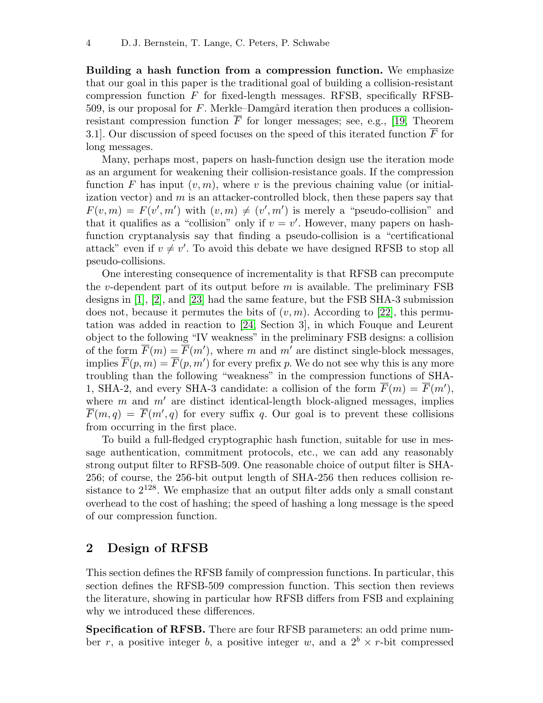Building a hash function from a compression function. We emphasize that our goal in this paper is the traditional goal of building a collision-resistant compression function  $F$  for fixed-length messages. RFSB, specifically RFSB-509, is our proposal for F. Merkle–Damgård iteration then produces a collisionresistant compression function  $\overline{F}$  for longer messages; see, e.g., [\[19,](#page-16-3) Theorem 3.1. Our discussion of speed focuses on the speed of this iterated function  $\overline{F}$  for long messages.

<span id="page-3-2"></span>Many, perhaps most, papers on hash-function design use the iteration mode as an argument for weakening their collision-resistance goals. If the compression function F has input  $(v, m)$ , where v is the previous chaining value (or initialization vector) and  $m$  is an attacker-controlled block, then these papers say that  $F(v,m) = F(v',m')$  with  $(v,m) \neq (v',m')$  is merely a "pseudo-collision" and that it qualifies as a "collision" only if  $v = v'$ . However, many papers on hashfunction cryptanalysis say that finding a pseudo-collision is a "certificational attack" even if  $v \neq v'$ . To avoid this debate we have designed RFSB to stop all pseudo-collisions.

<span id="page-3-5"></span><span id="page-3-4"></span><span id="page-3-3"></span><span id="page-3-1"></span><span id="page-3-0"></span>One interesting consequence of incrementality is that RFSB can precompute the v-dependent part of its output before  $m$  is available. The preliminary  $\text{FSB}$ designs in [\[1\]](#page-15-3), [\[2\]](#page-15-0), and [\[23\]](#page-16-0) had the same feature, but the FSB SHA-3 submission does not, because it permutes the bits of  $(v, m)$ . According to [\[22\]](#page-16-4), this permutation was added in reaction to [\[24,](#page-16-1) Section 3], in which Fouque and Leurent object to the following "IV weakness" in the preliminary FSB designs: a collision of the form  $\overline{F}(m) = \overline{F}(m')$ , where m and m' are distinct single-block messages, implies  $\overline{F}(p,m) = \overline{F}(p,m')$  for every prefix p. We do not see why this is any more troubling than the following "weakness" in the compression functions of SHA-1, SHA-2, and every SHA-3 candidate: a collision of the form  $\overline{F}(m) = \overline{F}(m')$ , where  $m$  and  $m'$  are distinct identical-length block-aligned messages, implies  $\overline{F}(m,q) = \overline{F}(m', q)$  for every suffix q. Our goal is to prevent these collisions from occurring in the first place.

To build a full-fledged cryptographic hash function, suitable for use in message authentication, commitment protocols, etc., we can add any reasonably strong output filter to RFSB-509. One reasonable choice of output filter is SHA-256; of course, the 256-bit output length of SHA-256 then reduces collision resistance to  $2^{128}$ . We emphasize that an output filter adds only a small constant overhead to the cost of hashing; the speed of hashing a long message is the speed of our compression function.

# 2 Design of RFSB

This section defines the RFSB family of compression functions. In particular, this section defines the RFSB-509 compression function. This section then reviews the literature, showing in particular how RFSB differs from FSB and explaining why we introduced these differences.

Specification of RFSB. There are four RFSB parameters: an odd prime number r, a positive integer b, a positive integer w, and a  $2^b \times r$ -bit compressed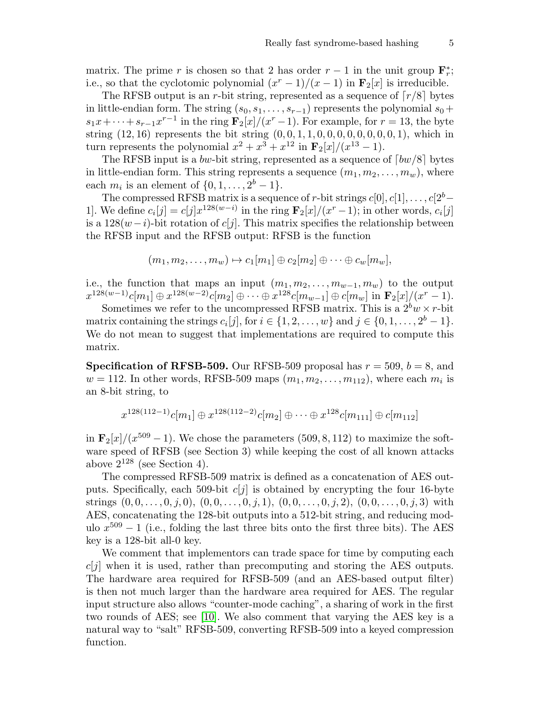matrix. The prime r is chosen so that 2 has order  $r-1$  in the unit group  $\mathbf{F}_r^*$ ; i.e., so that the cyclotomic polynomial  $(x^{r} - 1)/(x - 1)$  in  $\mathbf{F}_{2}[x]$  is irreducible.

The RFSB output is an r-bit string, represented as a sequence of  $\lceil r/8 \rceil$  bytes in little-endian form. The string  $(s_0, s_1, \ldots, s_{r-1})$  represents the polynomial  $s_0+$  $s_1x + \cdots + s_{r-1}x^{r-1}$  in the ring  $\mathbf{F}_2[x]/(x^r-1)$ . For example, for  $r = 13$ , the byte string  $(12, 16)$  represents the bit string  $(0, 0, 1, 1, 0, 0, 0, 0, 0, 0, 0, 0, 1)$ , which in turn represents the polynomial  $x^2 + x^3 + x^{12}$  in  $\mathbf{F}_2[x]/(x^{13} - 1)$ .

The RFSB input is a bw-bit string, represented as a sequence of  $\lceil bw/8 \rceil$  bytes in little-endian form. This string represents a sequence  $(m_1, m_2, \ldots, m_w)$ , where each  $m_i$  is an element of  $\{0, 1, \ldots, 2^b - 1\}.$ 

The compressed RFSB matrix is a sequence of r-bit strings  $c[0], c[1], \ldots, c[2^b-1]$ 1]. We define  $c_i[j] = c[j]x^{128(w-i)}$  in the ring  $\mathbf{F}_2[x]/(x^r-1)$ ; in other words,  $c_i[j]$ is a  $128(w-i)$ -bit rotation of c[j]. This matrix specifies the relationship between the RFSB input and the RFSB output: RFSB is the function

$$
(m_1, m_2, \ldots, m_w) \mapsto c_1[m_1] \oplus c_2[m_2] \oplus \cdots \oplus c_w[m_w],
$$

i.e., the function that maps an input  $(m_1, m_2, \ldots, m_{w-1}, m_w)$  to the output  $x^{128(w-1)}c[m_1] \oplus x^{128(w-2)}c[m_2] \oplus \cdots \oplus x^{128}c[m_{w-1}] \oplus c[m_w]$  in  $\mathbf{F}_2[x]/(x^r-1)$ .

Sometimes we refer to the uncompressed RFSB matrix. This is a  $2^b w \times r$ -bit matrix containing the strings  $c_i[j]$ , for  $i \in \{1, 2, ..., w\}$  and  $j \in \{0, 1, ..., 2^b - 1\}$ . We do not mean to suggest that implementations are required to compute this matrix.

**Specification of RFSB-509.** Our RFSB-509 proposal has  $r = 509$ ,  $b = 8$ , and  $w = 112$ . In other words, RFSB-509 maps  $(m_1, m_2, \ldots, m_{112})$ , where each  $m_i$  is an 8-bit string, to

$$
x^{128(112-1)}c[m_1] \oplus x^{128(112-2)}c[m_2] \oplus \cdots \oplus x^{128}c[m_{111}] \oplus c[m_{112}]
$$

in  $\mathbf{F}_2[x]/(x^{509}-1)$ . We chose the parameters  $(509, 8, 112)$  to maximize the software speed of RFSB (see Section 3) while keeping the cost of all known attacks above  $2^{128}$  (see Section 4).

The compressed RFSB-509 matrix is defined as a concatenation of AES outputs. Specifically, each 509-bit  $c[j]$  is obtained by encrypting the four 16-byte strings  $(0, 0, \ldots, 0, j, 0), (0, 0, \ldots, 0, j, 1), (0, 0, \ldots, 0, j, 2), (0, 0, \ldots, 0, j, 3)$  with AES, concatenating the 128-bit outputs into a 512-bit string, and reducing modulo  $x^{509} - 1$  (i.e., folding the last three bits onto the first three bits). The AES key is a 128-bit all-0 key.

<span id="page-4-0"></span>We comment that implementors can trade space for time by computing each  $c[i]$  when it is used, rather than precomputing and storing the AES outputs. The hardware area required for RFSB-509 (and an AES-based output filter) is then not much larger than the hardware area required for AES. The regular input structure also allows "counter-mode caching", a sharing of work in the first two rounds of AES; see [\[10\]](#page-16-5). We also comment that varying the AES key is a natural way to "salt" RFSB-509, converting RFSB-509 into a keyed compression function.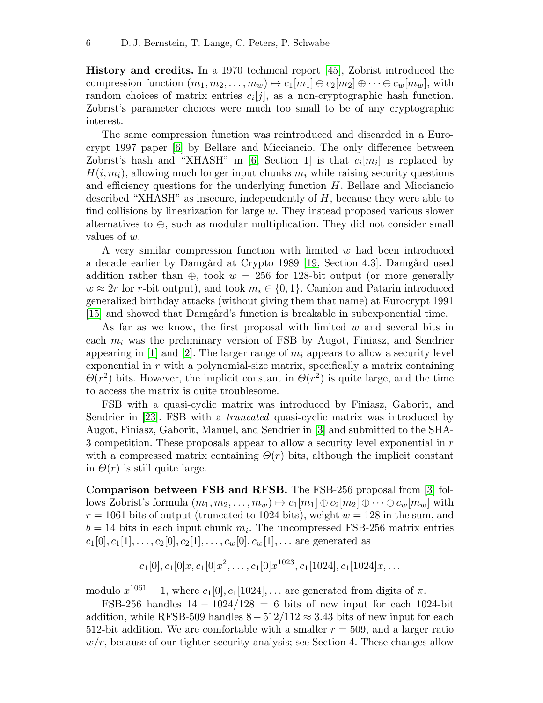<span id="page-5-9"></span>History and credits. In a 1970 technical report [\[45\]](#page-18-0), Zobrist introduced the compression function  $(m_1, m_2, \ldots, m_w) \mapsto c_1[m_1] \oplus c_2[m_2] \oplus \cdots \oplus c_w[m_w]$ , with random choices of matrix entries  $c_i[j]$ , as a non-cryptographic hash function. Zobrist's parameter choices were much too small to be of any cryptographic interest.

<span id="page-5-5"></span><span id="page-5-4"></span>The same compression function was reintroduced and discarded in a Eurocrypt 1997 paper [\[6\]](#page-15-4) by Bellare and Micciancio. The only difference between Zobrist's hash and "XHASH" in [\[6,](#page-15-4) Section 1] is that  $c_i[m_i]$  is replaced by  $H(i, m<sub>i</sub>)$ , allowing much longer input chunks  $m<sub>i</sub>$  while raising security questions and efficiency questions for the underlying function  $H$ . Bellare and Micciancio described "XHASH" as insecure, independently of H, because they were able to find collisions by linearization for large  $w$ . They instead proposed various slower alternatives to  $\oplus$ , such as modular multiplication. They did not consider small values of w.

<span id="page-5-7"></span>A very similar compression function with limited  $w$  had been introduced a decade earlier by Damgård at Crypto 1989 [\[19,](#page-16-3) Section 4.3]. Damgård used addition rather than  $\oplus$ , took  $w = 256$  for 128-bit output (or more generally  $w \approx 2r$  for r-bit output), and took  $m_i \in \{0, 1\}$ . Camion and Patarin introduced generalized birthday attacks (without giving them that name) at Eurocrypt 1991 [\[15\]](#page-16-6) and showed that Damgård's function is breakable in subexponential time.

<span id="page-5-6"></span><span id="page-5-1"></span><span id="page-5-0"></span>As far as we know, the first proposal with limited  $w$  and several bits in each  $m_i$  was the preliminary version of FSB by Augot, Finiasz, and Sendrier appearing in [\[1\]](#page-15-3) and [\[2\]](#page-15-0). The larger range of  $m_i$  appears to allow a security level exponential in  $r$  with a polynomial-size matrix, specifically a matrix containing  $\Theta(r^2)$  bits. However, the implicit constant in  $\Theta(r^2)$  is quite large, and the time to access the matrix is quite troublesome.

<span id="page-5-8"></span>FSB with a quasi-cyclic matrix was introduced by Finiasz, Gaborit, and Sendrier in [\[23\]](#page-16-0). FSB with a *truncated* quasi-cyclic matrix was introduced by Augot, Finiasz, Gaborit, Manuel, and Sendrier in [\[3\]](#page-15-1) and submitted to the SHA-3 competition. These proposals appear to allow a security level exponential in r with a compressed matrix containing  $\Theta(r)$  bits, although the implicit constant in  $\Theta(r)$  is still quite large.

Comparison between FSB and RFSB. The FSB-256 proposal from [\[3\]](#page-15-1) follows Zobrist's formula  $(m_1, m_2, \ldots, m_w) \mapsto c_1[m_1] \oplus c_2[m_2] \oplus \cdots \oplus c_w[m_w]$  with  $r = 1061$  bits of output (truncated to 1024 bits), weight  $w = 128$  in the sum, and  $b = 14$  bits in each input chunk  $m_i$ . The uncompressed FSB-256 matrix entries  $c_1[0], c_1[1], \ldots, c_2[0], c_2[1], \ldots, c_w[0], c_w[1], \ldots$  are generated as

<span id="page-5-3"></span><span id="page-5-2"></span>
$$
c_1[0], c_1[0]x, c_1[0]x^2, \ldots, c_1[0]x^{1023}, c_1[1024], c_1[1024]x, \ldots
$$

modulo  $x^{1061} - 1$ , where  $c_1[0], c_1[1024], \ldots$  are generated from digits of  $\pi$ .

FSB-256 handles  $14 - 1024/128 = 6$  bits of new input for each 1024-bit addition, while RFSB-509 handles  $8 - 512/112 \approx 3.43$  bits of new input for each 512-bit addition. We are comfortable with a smaller  $r = 509$ , and a larger ratio  $w/r$ , because of our tighter security analysis; see Section 4. These changes allow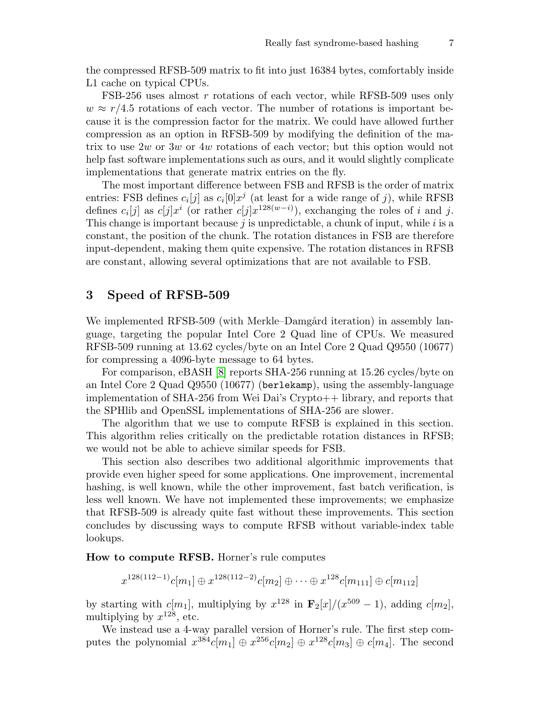the compressed RFSB-509 matrix to fit into just 16384 bytes, comfortably inside L1 cache on typical CPUs.

FSB-256 uses almost r rotations of each vector, while RFSB-509 uses only  $w \approx r/4.5$  rotations of each vector. The number of rotations is important because it is the compression factor for the matrix. We could have allowed further compression as an option in RFSB-509 by modifying the definition of the matrix to use 2w or 3w or 4w rotations of each vector; but this option would not help fast software implementations such as ours, and it would slightly complicate implementations that generate matrix entries on the fly.

The most important difference between FSB and RFSB is the order of matrix entries: FSB defines  $c_i[j]$  as  $c_i[0]x^j$  (at least for a wide range of j), while RFSB defines  $c_i[j]$  as  $c[j]x^i$  (or rather  $c[j]x^{128(w-i)}$ ), exchanging the roles of i and j. This change is important because  $j$  is unpredictable, a chunk of input, while  $i$  is a constant, the position of the chunk. The rotation distances in FSB are therefore input-dependent, making them quite expensive. The rotation distances in RFSB are constant, allowing several optimizations that are not available to FSB.

#### 3 Speed of RFSB-509

We implemented RFSB-509 (with Merkle–Damgård iteration) in assembly language, targeting the popular Intel Core 2 Quad line of CPUs. We measured RFSB-509 running at 13.62 cycles/byte on an Intel Core 2 Quad Q9550 (10677) for compressing a 4096-byte message to 64 bytes.

<span id="page-6-0"></span>For comparison, eBASH [\[8\]](#page-15-2) reports SHA-256 running at 15.26 cycles/byte on an Intel Core 2 Quad Q9550 (10677) (berlekamp), using the assembly-language implementation of SHA-256 from Wei Dai's Crypto++ library, and reports that the SPHlib and OpenSSL implementations of SHA-256 are slower.

The algorithm that we use to compute RFSB is explained in this section. This algorithm relies critically on the predictable rotation distances in RFSB; we would not be able to achieve similar speeds for FSB.

This section also describes two additional algorithmic improvements that provide even higher speed for some applications. One improvement, incremental hashing, is well known, while the other improvement, fast batch verification, is less well known. We have not implemented these improvements; we emphasize that RFSB-509 is already quite fast without these improvements. This section concludes by discussing ways to compute RFSB without variable-index table lookups.

How to compute RFSB. Horner's rule computes

 $x^{128(112-1)}c[m_1] \oplus x^{128(112-2)}c[m_2] \oplus \cdots \oplus x^{128}c[m_{111}] \oplus c[m_{112}]$ 

by starting with  $c[m_1]$ , multiplying by  $x^{128}$  in  $\mathbf{F}_2[x]/(x^{509} - 1)$ , adding  $c[m_2]$ , multiplying by  $x^{128}$ , etc.

We instead use a 4-way parallel version of Horner's rule. The first step computes the polynomial  $x^{384}c[m_1] \oplus x^{256}c[m_2] \oplus x^{128}c[m_3] \oplus c[m_4]$ . The second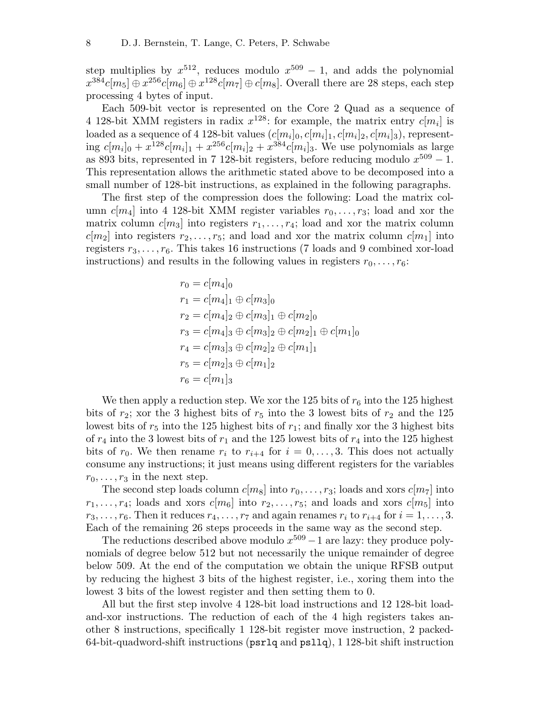step multiplies by  $x^{512}$ , reduces modulo  $x^{509} - 1$ , and adds the polynomial  $x^{384}c[m_5] \oplus x^{256}c[m_6] \oplus x^{128}c[m_7] \oplus c[m_8]$ . Overall there are 28 steps, each step processing 4 bytes of input.

Each 509-bit vector is represented on the Core 2 Quad as a sequence of 4 128-bit XMM registers in radix  $x^{128}$ : for example, the matrix entry  $c[m_i]$  is loaded as a sequence of 4 128-bit values  $(c[m_i]_0, c[m_i]_1, c[m_i]_2, c[m_i]_3)$ , representing  $c[m_i]_0 + x^{128}c[m_i]_1 + x^{256}c[m_i]_2 + x^{384}c[m_i]_3$ . We use polynomials as large as 893 bits, represented in 7 128-bit registers, before reducing modulo  $x^{509} - 1$ . This representation allows the arithmetic stated above to be decomposed into a small number of 128-bit instructions, as explained in the following paragraphs.

The first step of the compression does the following: Load the matrix column  $c[m_4]$  into 4 128-bit XMM register variables  $r_0, \ldots, r_3$ ; load and xor the matrix column  $c[m_3]$  into registers  $r_1, \ldots, r_4$ ; load and xor the matrix column  $c[m_2]$  into registers  $r_2, \ldots, r_5$ ; and load and xor the matrix column  $c[m_1]$  into registers  $r_3, \ldots, r_6$ . This takes 16 instructions (7 loads and 9 combined xor-load instructions) and results in the following values in registers  $r_0, \ldots, r_6$ :

$$
r_0 = c[m_4]_0
$$
  
\n
$$
r_1 = c[m_4]_1 \oplus c[m_3]_0
$$
  
\n
$$
r_2 = c[m_4]_2 \oplus c[m_3]_1 \oplus c[m_2]_0
$$
  
\n
$$
r_3 = c[m_4]_3 \oplus c[m_3]_2 \oplus c[m_2]_1 \oplus c[m_1]_0
$$
  
\n
$$
r_4 = c[m_3]_3 \oplus c[m_2]_2 \oplus c[m_1]_1
$$
  
\n
$$
r_5 = c[m_2]_3 \oplus c[m_1]_2
$$
  
\n
$$
r_6 = c[m_1]_3
$$

We then apply a reduction step. We xor the 125 bits of  $r_6$  into the 125 highest bits of  $r_2$ ; xor the 3 highest bits of  $r_5$  into the 3 lowest bits of  $r_2$  and the 125 lowest bits of  $r_5$  into the 125 highest bits of  $r_1$ ; and finally xor the 3 highest bits of  $r_4$  into the 3 lowest bits of  $r_1$  and the 125 lowest bits of  $r_4$  into the 125 highest bits of  $r_0$ . We then rename  $r_i$  to  $r_{i+4}$  for  $i = 0, \ldots, 3$ . This does not actually consume any instructions; it just means using different registers for the variables  $r_0, \ldots, r_3$  in the next step.

The second step loads column  $c[m_8]$  into  $r_0, \ldots, r_3$ ; loads and xors  $c[m_7]$  into  $r_1, \ldots, r_4$ ; loads and xors  $c[m_6]$  into  $r_2, \ldots, r_5$ ; and loads and xors  $c[m_5]$  into  $r_3, \ldots, r_6$ . Then it reduces  $r_4, \ldots, r_7$  and again renames  $r_i$  to  $r_{i+4}$  for  $i = 1, \ldots, 3$ . Each of the remaining 26 steps proceeds in the same way as the second step.

The reductions described above modulo  $x^{509} - 1$  are lazy: they produce polynomials of degree below 512 but not necessarily the unique remainder of degree below 509. At the end of the computation we obtain the unique RFSB output by reducing the highest 3 bits of the highest register, i.e., xoring them into the lowest 3 bits of the lowest register and then setting them to 0.

All but the first step involve 4 128-bit load instructions and 12 128-bit loadand-xor instructions. The reduction of each of the 4 high registers takes another 8 instructions, specifically 1 128-bit register move instruction, 2 packed-64-bit-quadword-shift instructions (psrlq and psllq), 1 128-bit shift instruction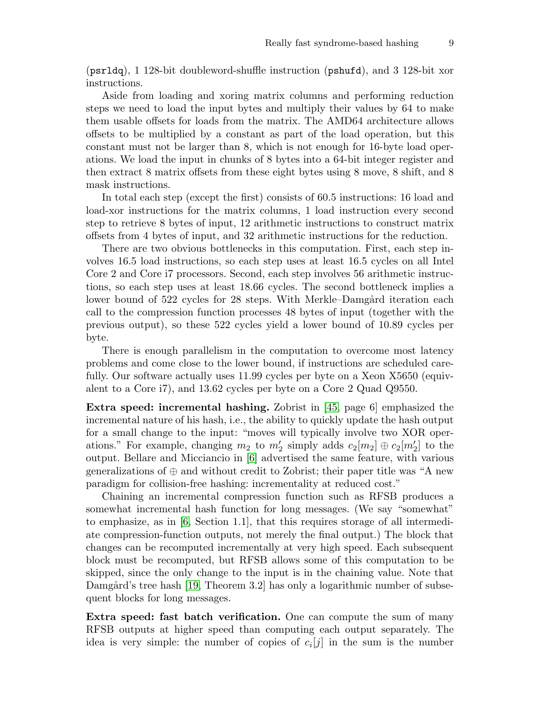(psrldq), 1 128-bit doubleword-shuffle instruction (pshufd), and 3 128-bit xor instructions.

Aside from loading and xoring matrix columns and performing reduction steps we need to load the input bytes and multiply their values by 64 to make them usable offsets for loads from the matrix. The AMD64 architecture allows offsets to be multiplied by a constant as part of the load operation, but this constant must not be larger than 8, which is not enough for 16-byte load operations. We load the input in chunks of 8 bytes into a 64-bit integer register and then extract 8 matrix offsets from these eight bytes using 8 move, 8 shift, and 8 mask instructions.

In total each step (except the first) consists of 60.5 instructions: 16 load and load-xor instructions for the matrix columns, 1 load instruction every second step to retrieve 8 bytes of input, 12 arithmetic instructions to construct matrix offsets from 4 bytes of input, and 32 arithmetic instructions for the reduction.

There are two obvious bottlenecks in this computation. First, each step involves 16.5 load instructions, so each step uses at least 16.5 cycles on all Intel Core 2 and Core i7 processors. Second, each step involves 56 arithmetic instructions, so each step uses at least 18.66 cycles. The second bottleneck implies a lower bound of 522 cycles for 28 steps. With Merkle–Damgård iteration each call to the compression function processes 48 bytes of input (together with the previous output), so these 522 cycles yield a lower bound of 10.89 cycles per byte.

There is enough parallelism in the computation to overcome most latency problems and come close to the lower bound, if instructions are scheduled carefully. Our software actually uses 11.99 cycles per byte on a Xeon X5650 (equivalent to a Core i7), and 13.62 cycles per byte on a Core 2 Quad Q9550.

<span id="page-8-3"></span>Extra speed: incremental hashing. Zobrist in [\[45,](#page-18-0) page 6] emphasized the incremental nature of his hash, i.e., the ability to quickly update the hash output for a small change to the input: "moves will typically involve two XOR operations." For example, changing  $m_2$  to  $m'_2$  simply adds  $c_2[m_2] \oplus c_2[m'_2]$  to the output. Bellare and Micciancio in [\[6\]](#page-15-4) advertised the same feature, with various generalizations of  $\oplus$  and without credit to Zobrist; their paper title was "A new paradigm for collision-free hashing: incrementality at reduced cost."

<span id="page-8-1"></span><span id="page-8-0"></span>Chaining an incremental compression function such as RFSB produces a somewhat incremental hash function for long messages. (We say "somewhat" to emphasize, as in  $[6, \text{Section 1.1}],$  $[6, \text{Section 1.1}],$  that this requires storage of all intermediate compression-function outputs, not merely the final output.) The block that changes can be recomputed incrementally at very high speed. Each subsequent block must be recomputed, but RFSB allows some of this computation to be skipped, since the only change to the input is in the chaining value. Note that Damgård's tree hash [\[19,](#page-16-3) Theorem 3.2] has only a logarithmic number of subsequent blocks for long messages.

<span id="page-8-2"></span>Extra speed: fast batch verification. One can compute the sum of many RFSB outputs at higher speed than computing each output separately. The idea is very simple: the number of copies of  $c_i[j]$  in the sum is the number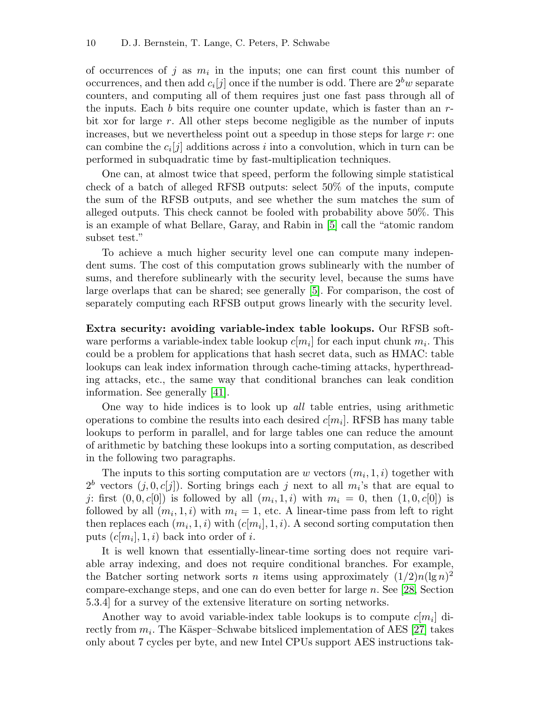of occurrences of j as  $m_i$  in the inputs; one can first count this number of occurrences, and then add  $c_i[j]$  once if the number is odd. There are  $2^b w$  separate counters, and computing all of them requires just one fast pass through all of the inputs. Each b bits require one counter update, which is faster than an  $r$ bit xor for large r. All other steps become negligible as the number of inputs increases, but we nevertheless point out a speedup in those steps for large  $r$ : one can combine the  $c_i[j]$  additions across i into a convolution, which in turn can be performed in subquadratic time by fast-multiplication techniques.

One can, at almost twice that speed, perform the following simple statistical check of a batch of alleged RFSB outputs: select 50% of the inputs, compute the sum of the RFSB outputs, and see whether the sum matches the sum of alleged outputs. This check cannot be fooled with probability above 50%. This is an example of what Bellare, Garay, and Rabin in [\[5\]](#page-15-5) call the "atomic random subset test."

<span id="page-9-1"></span><span id="page-9-0"></span>To achieve a much higher security level one can compute many independent sums. The cost of this computation grows sublinearly with the number of sums, and therefore sublinearly with the security level, because the sums have large overlaps that can be shared; see generally [\[5\]](#page-15-5). For comparison, the cost of separately computing each RFSB output grows linearly with the security level.

Extra security: avoiding variable-index table lookups. Our RFSB software performs a variable-index table lookup  $c[m_i]$  for each input chunk  $m_i$ . This could be a problem for applications that hash secret data, such as HMAC: table lookups can leak index information through cache-timing attacks, hyperthreading attacks, etc., the same way that conditional branches can leak condition information. See generally [\[41\]](#page-18-1).

<span id="page-9-4"></span>One way to hide indices is to look up all table entries, using arithmetic operations to combine the results into each desired  $c[m_i]$ . RFSB has many table lookups to perform in parallel, and for large tables one can reduce the amount of arithmetic by batching these lookups into a sorting computation, as described in the following two paragraphs.

The inputs to this sorting computation are w vectors  $(m_i, 1, i)$  together with  $2^b$  vectors  $(j, 0, c[j])$ . Sorting brings each j next to all  $m_i$ 's that are equal to j: first  $(0,0,c[0])$  is followed by all  $(m_i,1,i)$  with  $m_i = 0$ , then  $(1,0,c[0])$  is followed by all  $(m_i, 1, i)$  with  $m_i = 1$ , etc. A linear-time pass from left to right then replaces each  $(m_i, 1, i)$  with  $(c[m_i], 1, i)$ . A second sorting computation then puts  $(c[m_i], 1, i)$  back into order of *i*.

It is well known that essentially-linear-time sorting does not require variable array indexing, and does not require conditional branches. For example, the Batcher sorting network sorts *n* items using approximately  $(1/2)n(\lg n)^2$ compare-exchange steps, and one can do even better for large n. See [\[28,](#page-17-1) Section 5.3.4] for a survey of the extensive literature on sorting networks.

<span id="page-9-3"></span><span id="page-9-2"></span>Another way to avoid variable-index table lookups is to compute  $c[m_i]$  directly from  $m_i$ . The Käsper–Schwabe bitsliced implementation of AES [\[27\]](#page-17-2) takes only about 7 cycles per byte, and new Intel CPUs support AES instructions tak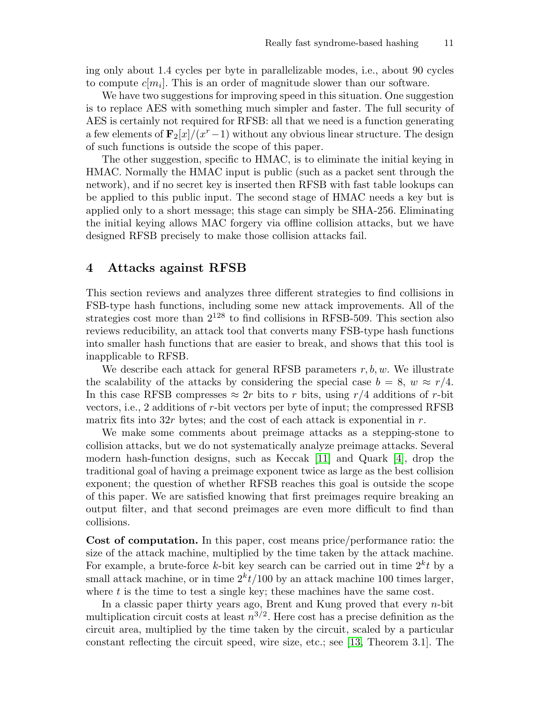ing only about 1.4 cycles per byte in parallelizable modes, i.e., about 90 cycles to compute  $c[m_i]$ . This is an order of magnitude slower than our software.

We have two suggestions for improving speed in this situation. One suggestion is to replace AES with something much simpler and faster. The full security of AES is certainly not required for RFSB: all that we need is a function generating a few elements of  $\mathbf{F}_{2}[x]/(x^{r}-1)$  without any obvious linear structure. The design of such functions is outside the scope of this paper.

The other suggestion, specific to HMAC, is to eliminate the initial keying in HMAC. Normally the HMAC input is public (such as a packet sent through the network), and if no secret key is inserted then RFSB with fast table lookups can be applied to this public input. The second stage of HMAC needs a key but is applied only to a short message; this stage can simply be SHA-256. Eliminating the initial keying allows MAC forgery via offline collision attacks, but we have designed RFSB precisely to make those collision attacks fail.

#### 4 Attacks against RFSB

This section reviews and analyzes three different strategies to find collisions in FSB-type hash functions, including some new attack improvements. All of the strategies cost more than  $2^{128}$  to find collisions in RFSB-509. This section also reviews reducibility, an attack tool that converts many FSB-type hash functions into smaller hash functions that are easier to break, and shows that this tool is inapplicable to RFSB.

We describe each attack for general RFSB parameters  $r, b, w$ . We illustrate the scalability of the attacks by considering the special case  $b = 8$ ,  $w \approx r/4$ . In this case RFSB compresses  $\approx 2r$  bits to r bits, using  $r/4$  additions of r-bit vectors, i.e., 2 additions of r-bit vectors per byte of input; the compressed RFSB matrix fits into  $32r$  bytes; and the cost of each attack is exponential in r.

<span id="page-10-1"></span><span id="page-10-0"></span>We make some comments about preimage attacks as a stepping-stone to collision attacks, but we do not systematically analyze preimage attacks. Several modern hash-function designs, such as Keccak [\[11\]](#page-16-7) and Quark [\[4\]](#page-15-6), drop the traditional goal of having a preimage exponent twice as large as the best collision exponent; the question of whether RFSB reaches this goal is outside the scope of this paper. We are satisfied knowing that first preimages require breaking an output filter, and that second preimages are even more difficult to find than collisions.

Cost of computation. In this paper, cost means price/performance ratio: the size of the attack machine, multiplied by the time taken by the attack machine. For example, a brute-force k-bit key search can be carried out in time  $2^k t$  by a small attack machine, or in time  $2<sup>k</sup>t/100$  by an attack machine 100 times larger, where  $t$  is the time to test a single key; these machines have the same cost.

<span id="page-10-2"></span>In a classic paper thirty years ago, Brent and Kung proved that every  $n$ -bit multiplication circuit costs at least  $n^{3/2}$ . Here cost has a precise definition as the circuit area, multiplied by the time taken by the circuit, scaled by a particular constant reflecting the circuit speed, wire size, etc.; see [\[13,](#page-16-8) Theorem 3.1]. The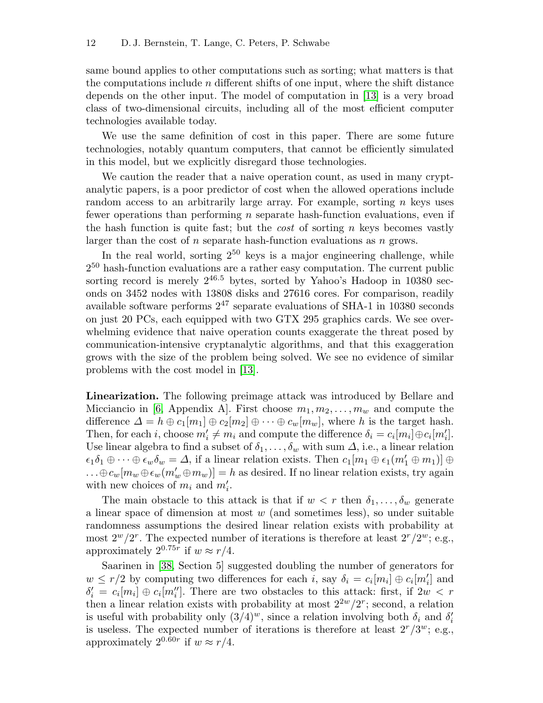<span id="page-11-1"></span>same bound applies to other computations such as sorting; what matters is that the computations include  $n$  different shifts of one input, where the shift distance depends on the other input. The model of computation in [\[13\]](#page-16-8) is a very broad class of two-dimensional circuits, including all of the most efficient computer technologies available today.

We use the same definition of cost in this paper. There are some future technologies, notably quantum computers, that cannot be efficiently simulated in this model, but we explicitly disregard those technologies.

We caution the reader that a naive operation count, as used in many cryptanalytic papers, is a poor predictor of cost when the allowed operations include random access to an arbitrarily large array. For example, sorting  $n$  keys uses fewer operations than performing n separate hash-function evaluations, even if the hash function is quite fast; but the *cost* of sorting n keys becomes vastly larger than the cost of  $n$  separate hash-function evaluations as  $n$  grows.

In the real world, sorting  $2^{50}$  keys is a major engineering challenge, while  $2^{50}$  hash-function evaluations are a rather easy computation. The current public sorting record is merely  $2^{46.5}$  bytes, sorted by Yahoo's Hadoop in 10380 seconds on 3452 nodes with 13808 disks and 27616 cores. For comparison, readily available software performs  $2^{47}$  separate evaluations of SHA-1 in 10380 seconds on just 20 PCs, each equipped with two GTX 295 graphics cards. We see overwhelming evidence that naive operation counts exaggerate the threat posed by communication-intensive cryptanalytic algorithms, and that this exaggeration grows with the size of the problem being solved. We see no evidence of similar problems with the cost model in [\[13\]](#page-16-8).

<span id="page-11-2"></span><span id="page-11-0"></span>Linearization. The following preimage attack was introduced by Bellare and Micciancio in [\[6,](#page-15-4) Appendix A]. First choose  $m_1, m_2, \ldots, m_w$  and compute the difference  $\Delta = h \oplus c_1[m_1] \oplus c_2[m_2] \oplus \cdots \oplus c_w[m_w]$ , where h is the target hash. Then, for each *i*, choose  $m'_i \neq m_i$  and compute the difference  $\delta_i = c_i[m_i] \oplus c_i[m'_i]$ . Use linear algebra to find a subset of  $\delta_1, \ldots, \delta_w$  with sum  $\Delta$ , i.e., a linear relation  $\epsilon_1\delta_1\oplus\cdots\oplus\epsilon_w\delta_w=\Delta$ , if a linear relation exists. Then  $c_1[m_1\oplus\epsilon_1(m_1'\oplus m_1)]\oplus$  $\dots \oplus c_w[m_w \oplus \epsilon_w(m'_w \oplus m_w)] = h$  as desired. If no linear relation exists, try again with new choices of  $m_i$  and  $m'_i$ .

The main obstacle to this attack is that if  $w < r$  then  $\delta_1, \ldots, \delta_w$  generate a linear space of dimension at most  $w$  (and sometimes less), so under suitable randomness assumptions the desired linear relation exists with probability at most  $2^w/2^r$ . The expected number of iterations is therefore at least  $2^r/2^w$ ; e.g., approximately  $2^{0.75r}$  if  $w \approx r/4$ .

<span id="page-11-3"></span>Saarinen in [\[38,](#page-17-0) Section 5] suggested doubling the number of generators for  $w \leq r/2$  by computing two differences for each i, say  $\delta_i = c_i[m_i] \oplus c_i[m'_i]$  and  $\delta_i' = c_i[m_i] \oplus c_i[m_i'']$ . There are two obstacles to this attack: first, if  $2w < r$ then a linear relation exists with probability at most  $2^{2w}/2^r$ ; second, a relation is useful with probability only  $(3/4)^w$ , since a relation involving both  $\delta_i$  and  $\delta'_i$ is useless. The expected number of iterations is therefore at least  $2^r/3^w$ ; e.g., approximately  $2^{0.60r}$  if  $w \approx r/4$ .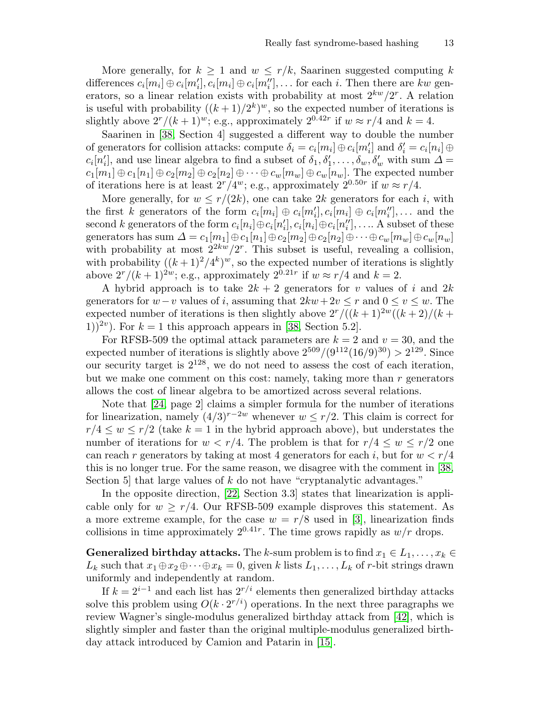More generally, for  $k \geq 1$  and  $w \leq r/k$ , Saarinen suggested computing k differences  $c_i[m_i] \oplus c_i[m'_i], c_i[m_i] \oplus c_i[m''_i], \ldots$  for each i. Then there are kw generators, so a linear relation exists with probability at most  $2^{kw}/2^r$ . A relation is useful with probability  $((k+1)/2^k)^w$ , so the expected number of iterations is slightly above  $2^r/(k+1)^w$ ; e.g., approximately  $2^{0.42r}$  if  $w \approx r/4$  and  $k = 4$ .

<span id="page-12-4"></span>Saarinen in [\[38,](#page-17-0) Section 4] suggested a different way to double the number of generators for collision attacks: compute  $\delta_i = c_i[m_i] \oplus c_i[m'_i]$  and  $\delta'_i = c_i[n_i] \oplus$  $c_i[n'_i]$ , and use linear algebra to find a subset of  $\delta_1, \delta'_1, \ldots, \delta_w, \delta'_w$  with sum  $\Delta =$  $c_1[m_1] \oplus c_1[n_1] \oplus c_2[m_2] \oplus c_2[n_2] \oplus \cdots \oplus c_w[m_w] \oplus c_w[n_w]$ . The expected number of iterations here is at least  $2^r/4^w$ ; e.g., approximately  $2^{0.50r}$  if  $w \approx r/4$ .

More generally, for  $w \leq r/(2k)$ , one can take 2k generators for each i, with the first k generators of the form  $c_i[m_i] \oplus c_i[m'_i], c_i[m_i] \oplus c_i[m''_i], \dots$  and the second k generators of the form  $c_i[n_i] \oplus c_i[n'_i], c_i[n_i] \oplus c_i[n''_i], \ldots$  A subset of these generators has sum  $\Delta = c_1[m_1] \oplus c_1[n_1] \oplus c_2[m_2] \oplus c_2[n_2] \oplus \cdots \oplus c_w[m_w] \oplus c_w[n_w]$ with probability at most  $2^{2kw}/2^r$ . This subset is useful, revealing a collision, with probability  $((k+1)^2/4^k)^w$ , so the expected number of iterations is slightly above  $2^r/(k+1)^{2w}$ ; e.g., approximately  $2^{0.21r}$  if  $w \approx r/4$  and  $k=2$ .

A hybrid approach is to take  $2k + 2$  generators for v values of i and  $2k$ generators for  $w-v$  values of i, assuming that  $2kw+2v \leq r$  and  $0 \leq v \leq w$ . The expected number of iterations is then slightly above  $2^r/((k+1)^{2w}((k+2)/(k+1))$ 1))<sup>2v</sup>). For  $k = 1$  this approach appears in [\[38,](#page-17-0) Section 5.2].

<span id="page-12-5"></span>For RFSB-509 the optimal attack parameters are  $k = 2$  and  $v = 30$ , and the expected number of iterations is slightly above  $2^{509}/(9^{112}(16/9)^{30}) > 2^{129}$ . Since our security target is  $2^{128}$ , we do not need to assess the cost of each iteration, but we make one comment on this cost: namely, taking more than  $r$  generators allows the cost of linear algebra to be amortized across several relations.

<span id="page-12-3"></span>Note that [\[24,](#page-16-1) page 2] claims a simpler formula for the number of iterations for linearization, namely  $(4/3)^{r-2w}$  whenever  $w \leq r/2$ . This claim is correct for  $r/4 \leq w \leq r/2$  (take  $k = 1$  in the hybrid approach above), but understates the number of iterations for  $w < r/4$ . The problem is that for  $r/4 \leq w \leq r/2$  one can reach r generators by taking at most 4 generators for each i, but for  $w < r/4$ this is no longer true. For the same reason, we disagree with the comment in [\[38,](#page-17-0) Section 5] that large values of k do not have "cryptanalytic advantages."

<span id="page-12-6"></span><span id="page-12-2"></span><span id="page-12-0"></span>In the opposite direction, [\[22,](#page-16-4) Section 3.3] states that linearization is applicable only for  $w \ge r/4$ . Our RFSB-509 example disproves this statement. As a more extreme example, for the case  $w = r/8$  used in [\[3\]](#page-15-1), linearization finds collisions in time approximately  $2^{0.41r}$ . The time grows rapidly as  $w/r$  drops.

**Generalized birthday attacks.** The k-sum problem is to find  $x_1 \in L_1, \ldots, x_k \in$  $L_k$  such that  $x_1 \oplus x_2 \oplus \cdots \oplus x_k = 0$ , given k lists  $L_1, \ldots, L_k$  of r-bit strings drawn uniformly and independently at random.

<span id="page-12-7"></span><span id="page-12-1"></span>If  $k = 2^{i-1}$  and each list has  $2^{r/i}$  elements then generalized birthday attacks solve this problem using  $O(k \cdot 2^{r/i})$  operations. In the next three paragraphs we review Wagner's single-modulus generalized birthday attack from [\[42\]](#page-18-2), which is slightly simpler and faster than the original multiple-modulus generalized birthday attack introduced by Camion and Patarin in [\[15\]](#page-16-6).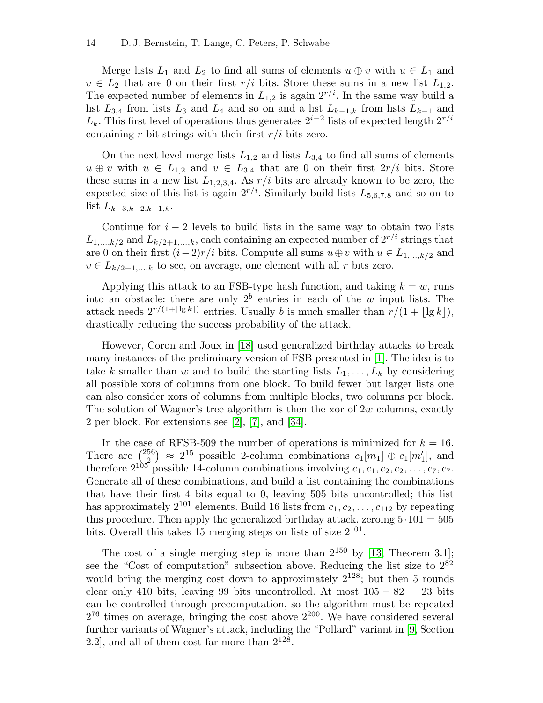Merge lists  $L_1$  and  $L_2$  to find all sums of elements  $u \oplus v$  with  $u \in L_1$  and  $v \in L_2$  that are 0 on their first  $r/i$  bits. Store these sums in a new list  $L_{1,2}$ . The expected number of elements in  $L_{1,2}$  is again  $2^{r/i}$ . In the same way build a list  $L_{3,4}$  from lists  $L_3$  and  $L_4$  and so on and a list  $L_{k-1,k}$  from lists  $L_{k-1}$  and  $L_k$ . This first level of operations thus generates  $2^{i-2}$  lists of expected length  $2^{r/i}$ containing r-bit strings with their first  $r/i$  bits zero.

On the next level merge lists  $L_{1,2}$  and lists  $L_{3,4}$  to find all sums of elements  $u \oplus v$  with  $u \in L_{1,2}$  and  $v \in L_{3,4}$  that are 0 on their first  $2r/i$  bits. Store these sums in a new list  $L_{1,2,3,4}$ . As  $r/i$  bits are already known to be zero, the expected size of this list is again  $2^{r/i}$ . Similarly build lists  $L_{5,6,7,8}$  and so on to list  $L_{k-3,k-2,k-1,k}$ .

Continue for  $i - 2$  levels to build lists in the same way to obtain two lists  $L_{1,\dots,k/2}$  and  $L_{k/2+1,\dots,k}$ , each containing an expected number of  $2^{r/i}$  strings that are 0 on their first  $(i-2)r/i$  bits. Compute all sums  $u \oplus v$  with  $u \in L_{1,\ldots,k/2}$  and  $v \in L_{k/2+1,\ldots,k}$  to see, on average, one element with all r bits zero.

Applying this attack to an FSB-type hash function, and taking  $k = w$ , runs into an obstacle: there are only  $2^b$  entries in each of the w input lists. The attack needs  $2^{r/(1+\lfloor \lg k \rfloor)}$  entries. Usually b is much smaller than  $r/(1 + \lfloor \lg k \rfloor)$ , drastically reducing the success probability of the attack.

<span id="page-13-5"></span><span id="page-13-0"></span>However, Coron and Joux in [\[18\]](#page-16-9) used generalized birthday attacks to break many instances of the preliminary version of FSB presented in [\[1\]](#page-15-3). The idea is to take k smaller than w and to build the starting lists  $L_1, \ldots, L_k$  by considering all possible xors of columns from one block. To build fewer but larger lists one can also consider xors of columns from multiple blocks, two columns per block. The solution of Wagner's tree algorithm is then the xor of  $2w$  columns, exactly 2 per block. For extensions see [\[2\]](#page-15-0), [\[7\]](#page-15-7), and [\[34\]](#page-17-3).

<span id="page-13-6"></span><span id="page-13-2"></span><span id="page-13-1"></span>In the case of RFSB-509 the number of operations is minimized for  $k = 16$ . There are  $\binom{256}{2}$  $\binom{56}{2} \approx 2^{15}$  possible 2-column combinations  $c_1[m_1] \oplus c_1[m'_1]$ , and therefore  $2^{105}$  possible 14-column combinations involving  $c_1, c_1, c_2, c_2, \ldots, c_7, c_7$ . Generate all of these combinations, and build a list containing the combinations that have their first 4 bits equal to 0, leaving 505 bits uncontrolled; this list has approximately  $2^{101}$  elements. Build 16 lists from  $c_1, c_2, \ldots, c_{112}$  by repeating this procedure. Then apply the generalized birthday attack, zeroing  $5 \cdot 101 = 505$ bits. Overall this takes 15 merging steps on lists of size  $2^{101}$ .

<span id="page-13-4"></span><span id="page-13-3"></span>The cost of a single merging step is more than  $2^{150}$  by [\[13,](#page-16-8) Theorem 3.1]; see the "Cost of computation" subsection above. Reducing the list size to  $2^{82}$ would bring the merging cost down to approximately  $2^{128}$ ; but then 5 rounds clear only 410 bits, leaving 99 bits uncontrolled. At most  $105 - 82 = 23$  bits can be controlled through precomputation, so the algorithm must be repeated  $2^{76}$  times on average, bringing the cost above  $2^{200}$ . We have considered several further variants of Wagner's attack, including the "Pollard" variant in [\[9,](#page-16-2) Section 2.2], and all of them cost far more than  $2^{128}$ .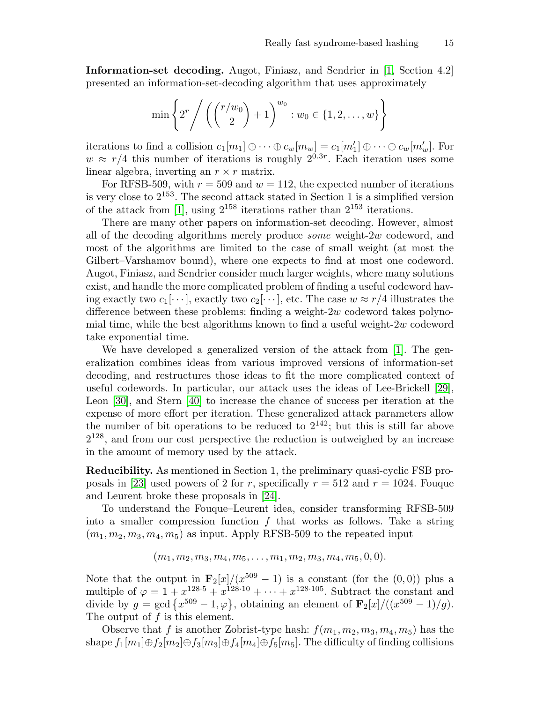Information-set decoding. Augot, Finiasz, and Sendrier in [\[1,](#page-15-3) Section 4.2] presented an information-set-decoding algorithm that uses approximately

<span id="page-14-0"></span>
$$
\min \left\{ 2^r / \left( {r/w_0 \choose 2} + 1 \right)^{w_0} : w_0 \in \{1, 2, ..., w\} \right\}
$$

iterations to find a collision  $c_1[m_1] \oplus \cdots \oplus c_w[m_w] = c_1[m'_1] \oplus \cdots \oplus c_w[m'_w]$ . For  $w \approx r/4$  this number of iterations is roughly  $2^{0.3r}$ . Each iteration uses some linear algebra, inverting an  $r \times r$  matrix.

For RFSB-509, with  $r = 509$  and  $w = 112$ , the expected number of iterations is very close to 2<sup>153</sup>. The second attack stated in Section 1 is a simplified version of the attack from [\[1\]](#page-15-3), using  $2^{158}$  iterations rather than  $2^{153}$  iterations.

<span id="page-14-1"></span>There are many other papers on information-set decoding. However, almost all of the decoding algorithms merely produce some weight-2w codeword, and most of the algorithms are limited to the case of small weight (at most the Gilbert–Varshamov bound), where one expects to find at most one codeword. Augot, Finiasz, and Sendrier consider much larger weights, where many solutions exist, and handle the more complicated problem of finding a useful codeword having exactly two  $c_1[\cdots]$ , exactly two  $c_2[\cdots]$ , etc. The case  $w \approx r/4$  illustrates the difference between these problems: finding a weight- $2w$  codeword takes polynomial time, while the best algorithms known to find a useful weight- $2w$  codeword take exponential time.

<span id="page-14-7"></span><span id="page-14-6"></span><span id="page-14-2"></span>We have developed a generalized version of the attack from [\[1\]](#page-15-3). The generalization combines ideas from various improved versions of information-set decoding, and restructures those ideas to fit the more complicated context of useful codewords. In particular, our attack uses the ideas of Lee-Brickell [\[29\]](#page-17-4), Leon [\[30\]](#page-17-5), and Stern [\[40\]](#page-18-3) to increase the chance of success per iteration at the expense of more effort per iteration. These generalized attack parameters allow the number of bit operations to be reduced to  $2^{142}$ ; but this is still far above  $2^{128}$ , and from our cost perspective the reduction is outweighed by an increase in the amount of memory used by the attack.

<span id="page-14-3"></span>Reducibility. As mentioned in Section 1, the preliminary quasi-cyclic FSB pro-posals in [\[23\]](#page-16-0) used powers of 2 for r, specifically  $r = 512$  and  $r = 1024$ . Fouque and Leurent broke these proposals in [\[24\]](#page-16-1).

To understand the Fouque–Leurent idea, consider transforming RFSB-509 into a smaller compression function  $f$  that works as follows. Take a string  $(m_1, m_2, m_3, m_4, m_5)$  as input. Apply RFSB-509 to the repeated input

<span id="page-14-5"></span><span id="page-14-4"></span> $(m_1, m_2, m_3, m_4, m_5, \ldots, m_1, m_2, m_3, m_4, m_5, 0, 0).$ 

Note that the output in  $\mathbf{F}_2[x]/(x^{509}-1)$  is a constant (for the  $(0,0)$ ) plus a multiple of  $\varphi = 1 + x^{128 \cdot 5} + x^{128 \cdot 10} + \cdots + x^{128 \cdot 105}$ . Subtract the constant and divide by  $g = \gcd\left\{x^{509} - 1, \varphi\right\}$ , obtaining an element of  $\mathbf{F}_2[x]/((x^{509} - 1)/g)$ . The output of  $f$  is this element.

Observe that f is another Zobrist-type hash:  $f(m_1, m_2, m_3, m_4, m_5)$  has the shape  $f_1[m_1] \oplus f_2[m_2] \oplus f_3[m_3] \oplus f_4[m_4] \oplus f_5[m_5]$ . The difficulty of finding collisions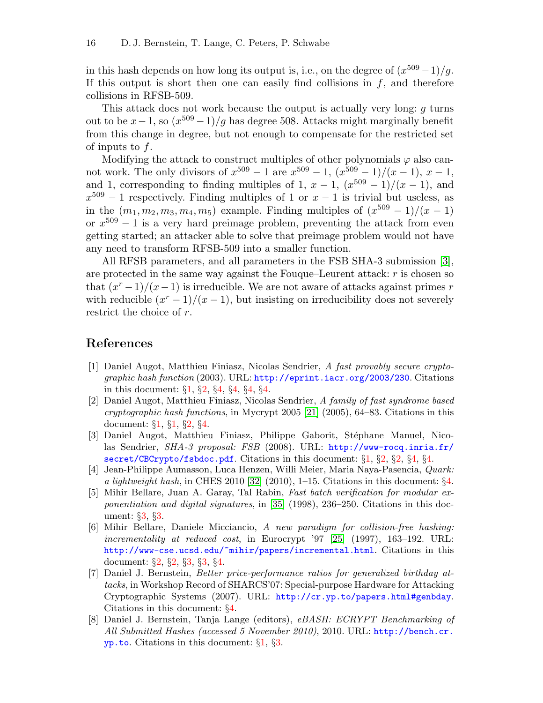in this hash depends on how long its output is, i.e., on the degree of  $(x^{509}-1)/g$ . If this output is short then one can easily find collisions in  $f$ , and therefore collisions in RFSB-509.

This attack does not work because the output is actually very long:  $g$  turns out to be  $x-1$ , so  $\left(\frac{x^{509}-1}{g}\right)$  has degree 508. Attacks might marginally benefit from this change in degree, but not enough to compensate for the restricted set of inputs to  $f$ .

Modifying the attack to construct multiples of other polynomials  $\varphi$  also cannot work. The only divisors of  $x^{509} - 1$  are  $x^{509} - 1$ ,  $(x^{509} - 1)/(x - 1)$ ,  $x - 1$ , and 1, corresponding to finding multiples of 1,  $x - 1$ ,  $(x^{509} - 1)/(x - 1)$ , and  $x^{509} - 1$  respectively. Finding multiples of 1 or  $x - 1$  is trivial but useless, as in the  $(m_1, m_2, m_3, m_4, m_5)$  example. Finding multiples of  $(x^{509} - 1)/(x - 1)$ or  $x^{509} - 1$  is a very hard preimage problem, preventing the attack from even getting started; an attacker able to solve that preimage problem would not have any need to transform RFSB-509 into a smaller function.

<span id="page-15-8"></span>All RFSB parameters, and all parameters in the FSB SHA-3 submission [\[3\]](#page-15-1), are protected in the same way against the Fouque–Leurent attack: r is chosen so that  $(x^{r}-1)/(x-1)$  is irreducible. We are not aware of attacks against primes r with reducible  $(x^{r} - 1)/(x - 1)$ , but insisting on irreducibility does not severely restrict the choice of r.

### References

- <span id="page-15-3"></span>[1] Daniel Augot, Matthieu Finiasz, Nicolas Sendrier, A fast provably secure cryptographic hash function (2003). URL: <http://eprint.iacr.org/2003/230>. Citations in this document: §[1](#page-3-0), §[2](#page-5-0), §[4,](#page-13-0) §[4,](#page-14-0) §[4](#page-14-1), §[4](#page-14-2).
- <span id="page-15-9"></span><span id="page-15-0"></span>[2] Daniel Augot, Matthieu Finiasz, Nicolas Sendrier, A family of fast syndrome based cryptographic hash functions, in Mycrypt 2005 [\[21\]](#page-16-10) (2005), 64–83. Citations in this document: §[1,](#page-1-0) §[1,](#page-3-1) §[2](#page-5-1), §[4](#page-13-1).
- <span id="page-15-1"></span>[3] Daniel Augot, Matthieu Finiasz, Philippe Gaborit, Stéphane Manuel, Nicolas Sendrier, SHA-3 proposal: FSB (2008). URL: [http://www-rocq.inria.fr/](http://www-rocq.inria.fr/secret/CBCrypto/fsbdoc.pdf) [secret/CBCrypto/fsbdoc.pdf](http://www-rocq.inria.fr/secret/CBCrypto/fsbdoc.pdf). Citations in this document: §[1,](#page-2-0) §[2](#page-5-2), §[2](#page-5-3), §[4](#page-12-0), §[4.](#page-15-8)
- <span id="page-15-11"></span><span id="page-15-6"></span>[4] Jean-Philippe Aumasson, Luca Henzen, Willi Meier, Maria Naya-Pasencia, Quark: a lightweight hash, in CHES 2010 [\[32\]](#page-17-6) (2010), 1–15. Citations in this document: §[4.](#page-10-0)
- <span id="page-15-12"></span><span id="page-15-5"></span>[5] Mihir Bellare, Juan A. Garay, Tal Rabin, Fast batch verification for modular exponentiation and digital signatures, in [\[35\]](#page-17-7) (1998), 236–250. Citations in this document: §[3,](#page-9-0) §[3](#page-9-1).
- <span id="page-15-10"></span><span id="page-15-4"></span>[6] Mihir Bellare, Daniele Micciancio, A new paradigm for collision-free hashing: incrementality at reduced cost, in Eurocrypt '97 [\[25\]](#page-17-8) (1997), 163–192. URL: <http://www-cse.ucsd.edu/~mihir/papers/incremental.html>. Citations in this document: §[2,](#page-5-4) §[2,](#page-5-5) §[3](#page-8-0), §[3](#page-8-1), §[4.](#page-11-0)
- <span id="page-15-7"></span>[7] Daniel J. Bernstein, Better price-performance ratios for generalized birthday attacks, in Workshop Record of SHARCS'07: Special-purpose Hardware for Attacking Cryptographic Systems (2007). URL: <http://cr.yp.to/papers.html#genbday>. Citations in this document: §[4](#page-13-2).
- <span id="page-15-2"></span>[8] Daniel J. Bernstein, Tanja Lange (editors), eBASH: ECRYPT Benchmarking of All Submitted Hashes (accessed 5 November 2010), 2010. URL: [http://bench.cr.](http://bench.cr.yp.to) [yp.to](http://bench.cr.yp.to). Citations in this document: §[1](#page-2-1), §[3](#page-6-0).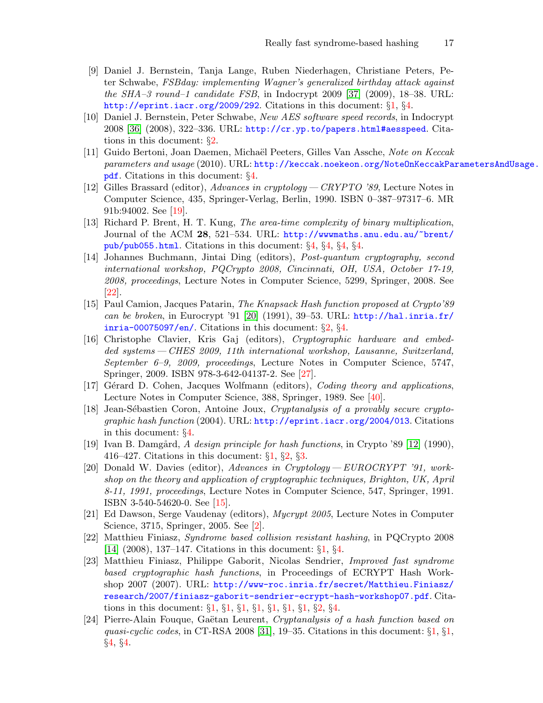- <span id="page-16-20"></span><span id="page-16-2"></span>[9] Daniel J. Bernstein, Tanja Lange, Ruben Niederhagen, Christiane Peters, Peter Schwabe, FSBday: implementing Wagner's generalized birthday attack against the  $SHA-3$  round–1 candidate FSB, in Indocrypt 2009 [\[37\]](#page-17-9) (2009), 18–38. URL: <http://eprint.iacr.org/2009/292>. Citations in this document: §[1](#page-2-2), §[4](#page-13-3).
- <span id="page-16-19"></span><span id="page-16-5"></span>[10] Daniel J. Bernstein, Peter Schwabe, New AES software speed records, in Indocrypt 2008 [\[36\]](#page-17-10) (2008), 322–336. URL: <http://cr.yp.to/papers.html#aesspeed>. Citations in this document: §[2](#page-4-0).
- <span id="page-16-7"></span>[11] Guido Bertoni, Joan Daemen, Michaël Peeters, Gilles Van Assche, Note on Keccak parameters and usage (2010). URL: [http://keccak.noekeon.org/NoteOnKeccakPa](http://keccak.noekeon.org/NoteOnKeccakParametersAndUsage.pdf)rametersAndUsage. [pdf](http://keccak.noekeon.org/NoteOnKeccakParametersAndUsage.pdf). Citations in this document: §[4.](#page-10-1)
- <span id="page-16-14"></span>[12] Gilles Brassard (editor), Advances in cryptology— CRYPTO '89, Lecture Notes in Computer Science, 435, Springer-Verlag, Berlin, 1990. ISBN 0–387–97317–6. MR 91b:94002. See [[19\]](#page-16-11).
- <span id="page-16-8"></span>[13] Richard P. Brent, H. T. Kung, The area-time complexity of binary multiplication, Journal of the ACM 28, 521–534. URL: [http://wwwmaths.anu.edu.au/~brent/](http://wwwmaths.anu.edu.au/~brent/pub/pub055.html) [pub/pub055.html](http://wwwmaths.anu.edu.au/~brent/pub/pub055.html). Citations in this document: §[4,](#page-10-2) §[4,](#page-11-1) §[4](#page-11-2), §[4](#page-13-4).
- <span id="page-16-16"></span>[14] Johannes Buchmann, Jintai Ding (editors), Post-quantum cryptography, second international workshop, PQCrypto 2008, Cincinnati, OH, USA, October 17-19, 2008, proceedings, Lecture Notes in Computer Science, 5299, Springer, 2008. See [\[22](#page-16-12)].
- <span id="page-16-15"></span><span id="page-16-6"></span>[15] Paul Camion, Jacques Patarin, The Knapsack Hash function proposed at Crypto'89 can be broken, in Eurocrypt '91 [\[20\]](#page-16-13) (1991), 39–53. URL: [http://hal.inria.fr/](http://hal.inria.fr/inria-00075097/en/) [inria-00075097/en/](http://hal.inria.fr/inria-00075097/en/). Citations in this document:  $\S2$ ,  $\S4$ .
- <span id="page-16-17"></span>[16] Christophe Clavier, Kris Gaj (editors), Cryptographic hardware and embedded systems— CHES 2009, 11th international workshop, Lausanne, Switzerland, September 6–9, 2009, proceedings, Lecture Notes in Computer Science, 5747, Springer, 2009. ISBN 978-3-642-04137-2. See [[27\]](#page-17-11).
- <span id="page-16-21"></span>[17] Gérard D. Cohen, Jacques Wolfmann (editors), Coding theory and applications, Lecture Notes in Computer Science, 388, Springer, 1989. See [[40\]](#page-18-4).
- <span id="page-16-9"></span>[18] Jean-Sébastien Coron, Antoine Joux, Cryptanalysis of a provably secure cryptographic hash function (2004). URL: <http://eprint.iacr.org/2004/013>. Citations in this document: §[4](#page-13-5).
- <span id="page-16-11"></span><span id="page-16-3"></span>[19] Ivan B. Damgård, A design principle for hash functions, in Crypto '89 [\[12\]](#page-16-14) (1990), 416–427. Citations in this document:  $\S1$ ,  $\S2$ ,  $\S3$  $\S3$ .
- <span id="page-16-13"></span>[20] Donald W. Davies (editor), Advances in Cryptology— EUROCRYPT '91, workshop on the theory and application of cryptographic techniques, Brighton, UK, April 8-11, 1991, proceedings, Lecture Notes in Computer Science, 547, Springer, 1991. ISBN 3-540-54620-0. See [[15\]](#page-16-15).
- <span id="page-16-10"></span>[21] Ed Dawson, Serge Vaudenay (editors), Mycrypt 2005, Lecture Notes in Computer Science, 3715, Springer, 2005. See [[2](#page-15-9)].
- <span id="page-16-12"></span><span id="page-16-4"></span>[22] Matthieu Finiasz, Syndrome based collision resistant hashing, in PQCrypto 2008 [\[14\]](#page-16-16) (2008), 137–147. Citations in this document: §[1](#page-3-3), §[4](#page-12-2).
- <span id="page-16-0"></span>[23] Matthieu Finiasz, Philippe Gaborit, Nicolas Sendrier, Improved fast syndrome based cryptographic hash functions, in Proceedings of ECRYPT Hash Workshop 2007 (2007). URL: [http://www-roc.inria.fr/secret/Matthieu.Finiasz/](http://www-roc.inria.fr/secret/Matthieu.Finiasz/research/2007/finiasz-gaborit-sendrier-ecrypt-hash-workshop07.pdf) [research/2007/finiasz-gaborit-sendrier-ecrypt-hash-workshop07.pdf](http://www-roc.inria.fr/secret/Matthieu.Finiasz/research/2007/finiasz-gaborit-sendrier-ecrypt-hash-workshop07.pdf). Citations in this document: §[1](#page-1-1), §[1,](#page-1-2) §[1,](#page-2-3) §[1,](#page-2-4) §[1](#page-2-5), §[1](#page-2-6), §[1,](#page-3-4) §[2,](#page-5-8) §[4.](#page-14-3)
- <span id="page-16-18"></span><span id="page-16-1"></span>[24] Pierre-Alain Fouque, Gaëtan Leurent, Cryptanalysis of a hash function based on quasi-cyclic codes, in CT-RSA 2008 [\[31\]](#page-17-12), [1](#page-2-7)9–35. Citations in this document:  $\S1$ ,  $\S1$ , §[4,](#page-12-3) §[4.](#page-14-4)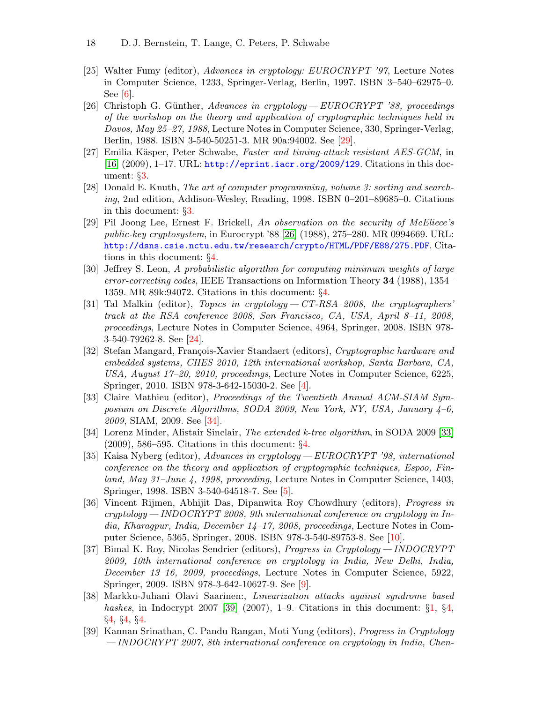- <span id="page-17-8"></span>[25] Walter Fumy (editor), Advances in cryptology: EUROCRYPT '97, Lecture Notes in Computer Science, 1233, Springer-Verlag, Berlin, 1997. ISBN 3–540–62975–0. See [[6\]](#page-15-10).
- <span id="page-17-14"></span>[26] Christoph G. Günther, Advances in cryptology —  $EUROCRYPT$  '88, proceedings of the workshop on the theory and application of cryptographic techniques held in Davos, May 25–27, 1988, Lecture Notes in Computer Science, 330, Springer-Verlag, Berlin, 1988. ISBN 3-540-50251-3. MR 90a:94002. See [[29\]](#page-17-13).
- <span id="page-17-11"></span><span id="page-17-2"></span>[27] Emilia Käsper, Peter Schwabe, Faster and timing-attack resistant AES-GCM, in  $[16]$   $(2009)$ , 1–17. URL: <http://eprint.iacr.org/2009/129>. Citations in this document: §[3.](#page-9-2)
- <span id="page-17-1"></span>[28] Donald E. Knuth, The art of computer programming, volume 3: sorting and searching, 2nd edition, Addison-Wesley, Reading, 1998. ISBN 0–201–89685–0. Citations in this document: §[3](#page-9-3).
- <span id="page-17-13"></span><span id="page-17-4"></span>[29] Pil Joong Lee, Ernest F. Brickell, An observation on the security of McEliece's public-key cryptosystem, in Eurocrypt '88 [\[26\]](#page-17-14) (1988), 275–280. MR 0994669. URL: <http://dsns.csie.nctu.edu.tw/research/crypto/HTML/PDF/E88/275.PDF>. Citations in this document: §[4](#page-14-5).
- <span id="page-17-5"></span>[30] Jeffrey S. Leon, A probabilistic algorithm for computing minimum weights of large error-correcting codes, IEEE Transactions on Information Theory 34 (1988), 1354– 1359. MR 89k:94072. Citations in this document: §[4](#page-14-6).
- <span id="page-17-12"></span>[31] Tal Malkin (editor), Topics in cryptology  $-CT$ -RSA 2008, the cryptographers' track at the RSA conference 2008, San Francisco, CA, USA, April 8–11, 2008, proceedings, Lecture Notes in Computer Science, 4964, Springer, 2008. ISBN 978- 3-540-79262-8. See [[24\]](#page-16-18).
- <span id="page-17-6"></span>[32] Stefan Mangard, François-Xavier Standaert (editors), Cryptographic hardware and embedded systems, CHES 2010, 12th international workshop, Santa Barbara, CA, USA, August 17–20, 2010, proceedings, Lecture Notes in Computer Science, 6225, Springer, 2010. ISBN 978-3-642-15030-2. See [[4\]](#page-15-11).
- <span id="page-17-16"></span>[33] Claire Mathieu (editor), Proceedings of the Twentieth Annual ACM-SIAM Symposium on Discrete Algorithms, SODA 2009, New York, NY, USA, January 4–6, 2009, SIAM, 2009. See [[34\]](#page-17-15).
- <span id="page-17-15"></span><span id="page-17-3"></span>[34] Lorenz Minder, Alistair Sinclair, The extended k-tree algorithm, in SODA 2009 [\[33\]](#page-17-16)  $(2009)$ , 586–595. Citations in this document:  $\S4$  $\S4$ .
- <span id="page-17-7"></span>[35] Kaisa Nyberg (editor), Advances in cryptology— EUROCRYPT '98, international conference on the theory and application of cryptographic techniques, Espoo, Finland, May 31–June 4, 1998, proceeding, Lecture Notes in Computer Science, 1403, Springer, 1998. ISBN 3-540-64518-7. See [\[5\]](#page-15-12).
- <span id="page-17-10"></span>[36] Vincent Rijmen, Abhijit Das, Dipanwita Roy Chowdhury (editors), Progress in cryptology— INDOCRYPT 2008, 9th international conference on cryptology in India, Kharagpur, India, December 14–17, 2008, proceedings, Lecture Notes in Computer Science, 5365, Springer, 2008. ISBN 978-3-540-89753-8. See [[10\]](#page-16-19).
- <span id="page-17-9"></span>[37] Bimal K. Roy, Nicolas Sendrier (editors), Progress in Cryptology— INDOCRYPT 2009, 10th international conference on cryptology in India, New Delhi, India, December 13–16, 2009, proceedings, Lecture Notes in Computer Science, 5922, Springer, 2009. ISBN 978-3-642-10627-9. See [[9\]](#page-16-20).
- <span id="page-17-18"></span><span id="page-17-0"></span>[38] Markku-Juhani Olavi Saarinen:, Linearization attacks against syndrome based hashes, in Indocrypt 2007 [\[39\]](#page-17-17) (2007), [1](#page-2-8)–9. Citations in this document:  $\S1$ ,  $\S4$ , §[4,](#page-12-4) §[4,](#page-12-5) §[4](#page-12-6).
- <span id="page-17-17"></span>[39] Kannan Srinathan, C. Pandu Rangan, Moti Yung (editors), Progress in Cryptology — INDOCRYPT 2007, 8th international conference on cryptology in India, Chen-